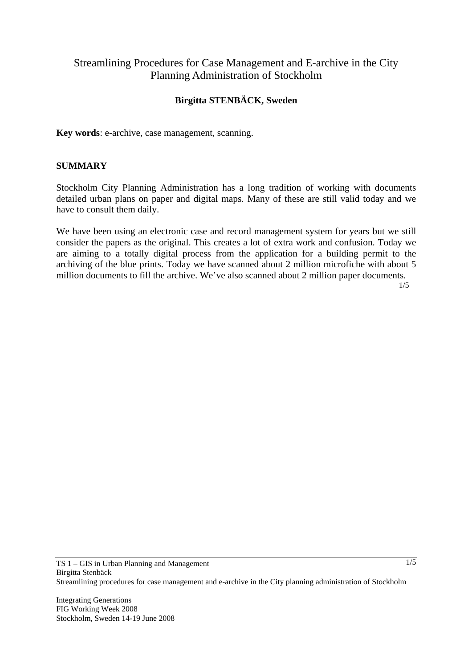# Streamlining Procedures for Case Management and E-archive in the City Planning Administration of Stockholm

## **Birgitta STENBÄCK, Sweden**

**Key words**: e-archive, case management, scanning.

#### **SUMMARY**

Stockholm City Planning Administration has a long tradition of working with documents detailed urban plans on paper and digital maps. Many of these are still valid today and we have to consult them daily.

We have been using an electronic case and record management system for years but we still consider the papers as the original. This creates a lot of extra work and confusion. Today we are aiming to a totally digital process from the application for a building permit to the archiving of the blue prints. Today we have scanned about 2 million microfiche with about 5 million documents to fill the archive. We've also scanned about 2 million paper documents.

1/5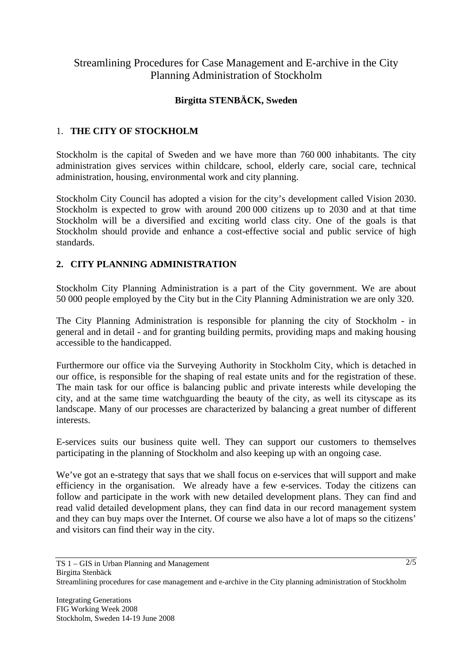# Streamlining Procedures for Case Management and E-archive in the City Planning Administration of Stockholm

## **Birgitta STENBÄCK, Sweden**

### 1. **THE CITY OF STOCKHOLM**

Stockholm is the capital of Sweden and we have more than 760 000 inhabitants. The city administration gives services within childcare, school, elderly care, social care, technical administration, housing, environmental work and city planning.

Stockholm City Council has adopted a vision for the city's development called Vision 2030. Stockholm is expected to grow with around 200 000 citizens up to 2030 and at that time Stockholm will be a diversified and exciting world class city. One of the goals is that Stockholm should provide and enhance a cost-effective social and public service of high standards.

## **2. CITY PLANNING ADMINISTRATION**

Stockholm City Planning Administration is a part of the City government. We are about 50 000 people employed by the City but in the City Planning Administration we are only 320.

The City Planning Administration is responsible for planning the city of Stockholm - in general and in detail - and for granting building permits, providing maps and making housing accessible to the handicapped.

Furthermore our office via the Surveying Authority in Stockholm City, which is detached in our office, is responsible for the shaping of real estate units and for the registration of these. The main task for our office is balancing public and private interests while developing the city, and at the same time watchguarding the beauty of the city, as well its cityscape as its landscape. Many of our processes are characterized by balancing a great number of different interests.

E-services suits our business quite well. They can support our customers to themselves participating in the planning of Stockholm and also keeping up with an ongoing case.

We've got an e-strategy that says that we shall focus on e-services that will support and make efficiency in the organisation. We already have a few e-services. Today the citizens can follow and participate in the work with new detailed development plans. They can find and read valid detailed development plans, they can find data in our record management system and they can buy maps over the Internet. Of course we also have a lot of maps so the citizens' and visitors can find their way in the city.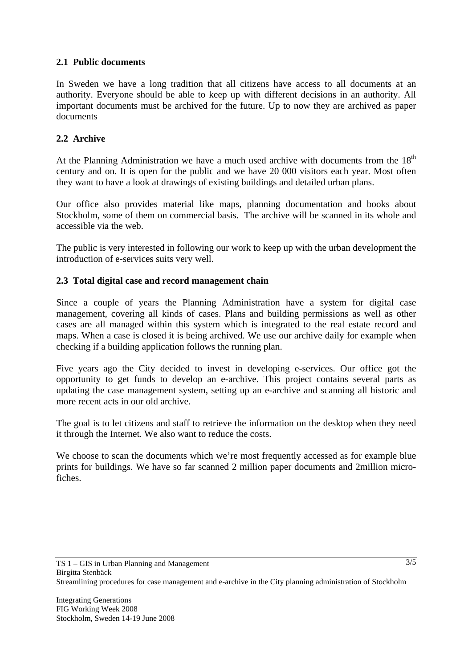### **2.1 Public documents**

In Sweden we have a long tradition that all citizens have access to all documents at an authority. Everyone should be able to keep up with different decisions in an authority. All important documents must be archived for the future. Up to now they are archived as paper documents

### **2.2 Archive**

At the Planning Administration we have a much used archive with documents from the  $18<sup>th</sup>$ century and on. It is open for the public and we have 20 000 visitors each year. Most often they want to have a look at drawings of existing buildings and detailed urban plans.

Our office also provides material like maps, planning documentation and books about Stockholm, some of them on commercial basis. The archive will be scanned in its whole and accessible via the web.

The public is very interested in following our work to keep up with the urban development the introduction of e-services suits very well.

#### **2.3 Total digital case and record management chain**

Since a couple of years the Planning Administration have a system for digital case management, covering all kinds of cases. Plans and building permissions as well as other cases are all managed within this system which is integrated to the real estate record and maps. When a case is closed it is being archived. We use our archive daily for example when checking if a building application follows the running plan.

Five years ago the City decided to invest in developing e-services. Our office got the opportunity to get funds to develop an e-archive. This project contains several parts as updating the case management system, setting up an e-archive and scanning all historic and more recent acts in our old archive.

The goal is to let citizens and staff to retrieve the information on the desktop when they need it through the Internet. We also want to reduce the costs.

We choose to scan the documents which we're most frequently accessed as for example blue prints for buildings. We have so far scanned 2 million paper documents and 2million microfiches.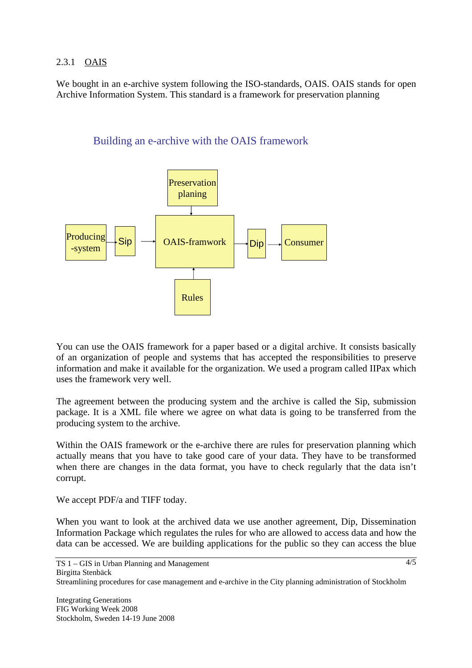### 2.3.1 OAIS

We bought in an e-archive system following the ISO-standards, OAIS. OAIS stands for open Archive Information System. This standard is a framework for preservation planning





You can use the OAIS framework for a paper based or a digital archive. It consists basically of an organization of people and systems that has accepted the responsibilities to preserve information and make it available for the organization. We used a program called IIPax which uses the framework very well.

The agreement between the producing system and the archive is called the Sip, submission package. It is a XML file where we agree on what data is going to be transferred from the producing system to the archive.

Within the OAIS framework or the e-archive there are rules for preservation planning which actually means that you have to take good care of your data. They have to be transformed when there are changes in the data format, you have to check regularly that the data isn't corrupt.

We accept PDF/a and TIFF today.

When you want to look at the archived data we use another agreement, Dip, Dissemination Information Package which regulates the rules for who are allowed to access data and how the data can be accessed. We are building applications for the public so they can access the blue